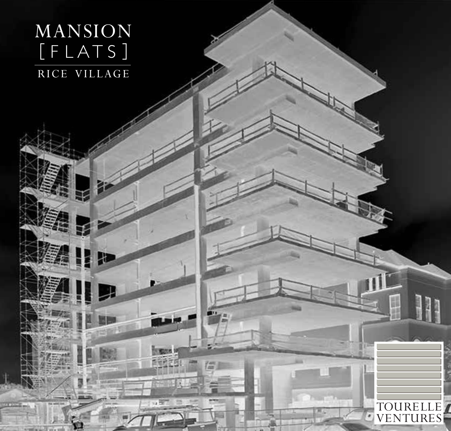# MANSION  $[$  F L A T S  $]$ RICE VILLAGE

但

僵

双章

TOURELLE VENTURES

 $\cdot$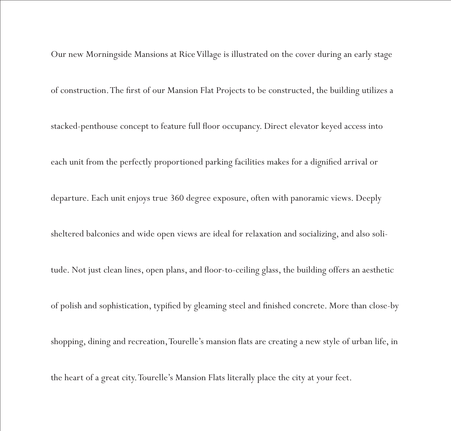Our new Morningside Mansions at Rice Village is illustrated on the cover during an early stage of construction. The first of our Mansion Flat Projects to be constructed, the building utilizes a stacked-penthouse concept to feature full floor occupancy. Direct elevator keyed access into each unit from the perfectly proportioned parking facilities makes for a dignified arrival or departure. Each unit enjoys true 360 degree exposure, often with panoramic views. Deeply sheltered balconies and wide open views are ideal for relaxation and socializing, and also solitude. Not just clean lines, open plans, and floor-to-ceiling glass, the building offers an aesthetic of polish and sophistication, typified by gleaming steel and finished concrete. More than close-by shopping, dining and recreation, Tourelle's mansion flats are creating a new style of urban life, in the heart of a great city. Tourelle's Mansion Flats literally place the city at your feet.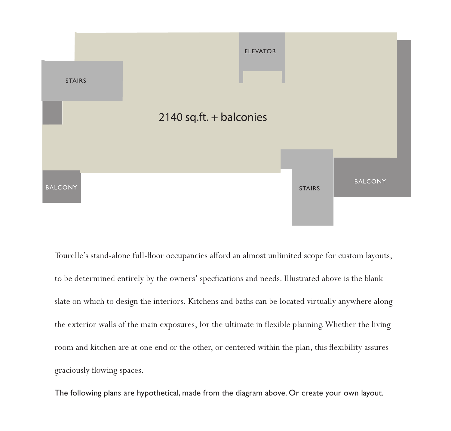

Tourelle's stand-alone full-floor occupancies afford an almost unlimited scope for custom layouts, to be determined entirely by the owners' specfications and needs. Illustrated above is the blank slate on which to design the interiors. Kitchens and baths can be located virtually anywhere along the exterior walls of the main exposures, for the ultimate in flexible planning. Whether the living room and kitchen are at one end or the other, or centered within the plan, this flexibility assures graciously flowing spaces.

The following plans are hypothetical, made from the diagram above. Or create your own layout.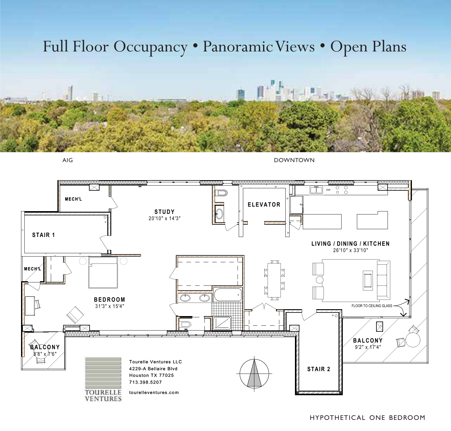# Full Floor Occupancy • Panoramic Views • Open Plans



AIG DOWNTOWN

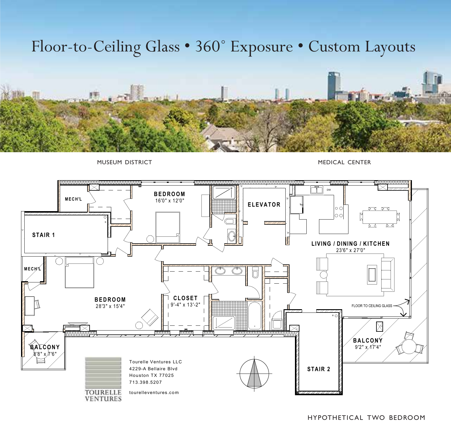# Floor-to-Ceiling Glass • 360˚ Exposure • Custom Layouts



MUSEUM DISTRICT **MEDICAL CENTER** 

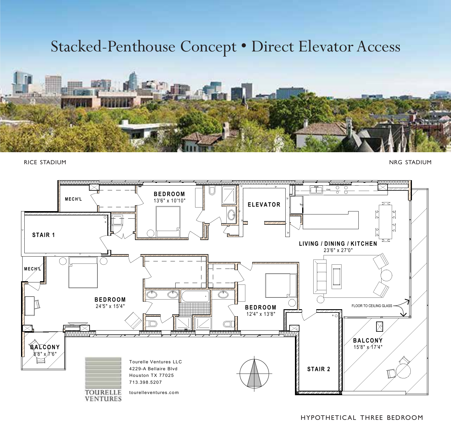## Stacked-Penthouse Concept • Direct Elevator Access



RICE STADIUM NRG STADIUM NATURAL SERIES AND SERIES AND STADIUM NATURAL STADIUM NATURAL STADIUM NATURAL STADIUM



HYPOTHETICAL THREE BEDROOM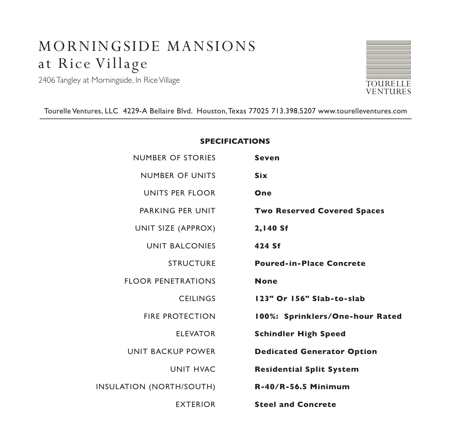### MORNINGSIDE MANSIONS at Rice Village

2406 Tangley at Morningside, In Rice Village



Tourelle Ventures, LLC 4229-A Bellaire Blvd. Houston, Texas 77025 713.398.5207 www.tourelleventures.com

### **SPECIFICATIONS**

| <b>Seven</b>                       | <b>NUMBER OF STORIES</b>  |
|------------------------------------|---------------------------|
| <b>Six</b>                         | <b>NUMBER OF UNITS</b>    |
| One                                | UNITS PER FLOOR           |
| <b>Two Reserved Covered Spaces</b> | PARKING PFR UNIT          |
| 2,140 Sf                           | UNIT SIZE (APPROX)        |
| 424 Sf                             | <b>UNIT BALCONIES</b>     |
| <b>Poured-in-Place Concrete</b>    | <b>STRUCTURE</b>          |
| <b>None</b>                        | <b>FLOOR PENETRATIONS</b> |
| 123" Or 156" Slab-to-slab          | <b>CEILINGS</b>           |
| 100%: Sprinklers/One-hour Rated    | <b>FIRE PROTECTION</b>    |
| <b>Schindler High Speed</b>        | <b>ELEVATOR</b>           |
| <b>Dedicated Generator Option</b>  | UNIT BACKUP POWER         |
| <b>Residential Split System</b>    | <b>UNIT HVAC</b>          |
| <b>R-40/R-56.5 Minimum</b>         | INSULATION (NORTH/SOUTH)  |
| <b>Steel and Concrete</b>          | <b>EXTERIOR</b>           |